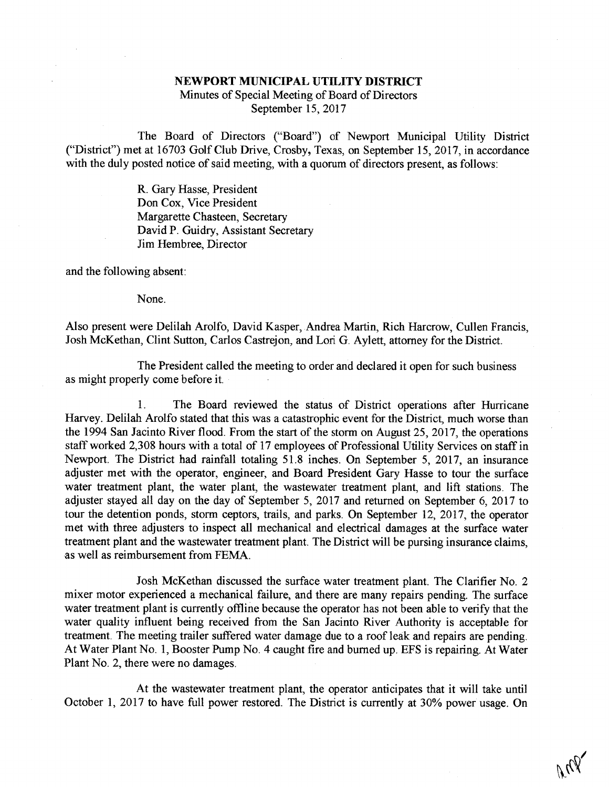## NEWPORT MUNICIPAL UTILITY DISTRICT

Minutes of Special Meeting of Board of Directors September 15, 2017

The Board of Directors ("Board") of Newport Municipal Utility District ("District") met at 16703 Golf Club Drive, Crosby, Texas, on September 15, 2017, in accordance with the duly posted notice of said meeting, with a quorum of directors present, as follows:

> R. Gary Hasse, President Don Cox, Vice President Margarette Chasteen, Secretary David P. Guidry, Assistant Secretary Jim Hembree, Director

and the following absent:

None.

Also present were Delilah Arolfo, David Kasper, Andrea Martin, Rich Harcrow, Cullen Francis, Josh McKethan, Clint Sutton, Carlos Castrejon, and Lori G. Aylett, attorney for the District.

The President called the meeting to order and declared it open for such business as might properly come before it.

1. The Board reviewed the status of District operations after Hurricane Harvey. Delilah Arolfo stated that this was a catastrophic event for the District, much worse than the 1994 San Jacinto River flood. From the start of the storm on August 25, 2017, the operations staff worked 2,308 hours with a total of 17 employees of Professional Utility Services on staff in Newport. The District had rainfall totaling 51.8 inches. On September 5, 2017, an insurance adjuster met with the operator, engineer, and Board President Gary Hasse to tour the surface water treatment plant, the water plant, the wastewater treatment plant, and lift stations. The adjuster stayed all day on the day of September 5, 2017 and returned on September 6, 2017 to tour the detention ponds, storm ceptors, trails, and parks. On September 12, 2017, the operator met with three adjusters to inspect all mechanical and electrical damages at the surface water treatment plant and the wastewater treatment plant. The District will be pursing insurance claims, as well as reimbursement from FEMA.

Josh McKethan discussed the surface water treatment plant. The Clarifier No. 2 mixer motor experienced a mechanical failure, and there are many repairs pending. The surface water treatment plant is currently offline because the operator has not been able to verify that the water quality influent being received from the San Jacinto River Authority is acceptable for treatment. The meeting trailer suffered water damage due to a roof leak and repairs are pending. At Water Plant No. 1, Booster Pump No. 4 caught fire and burned up. EPS is repairing. At Water Plant No. 2, there were no damages.

At the wastewater treatment plant, the operator anticipates that it will take until October 1, 2017 to have full power restored. The District is currently at 30% power usage. On

 $^{\prime\prime}$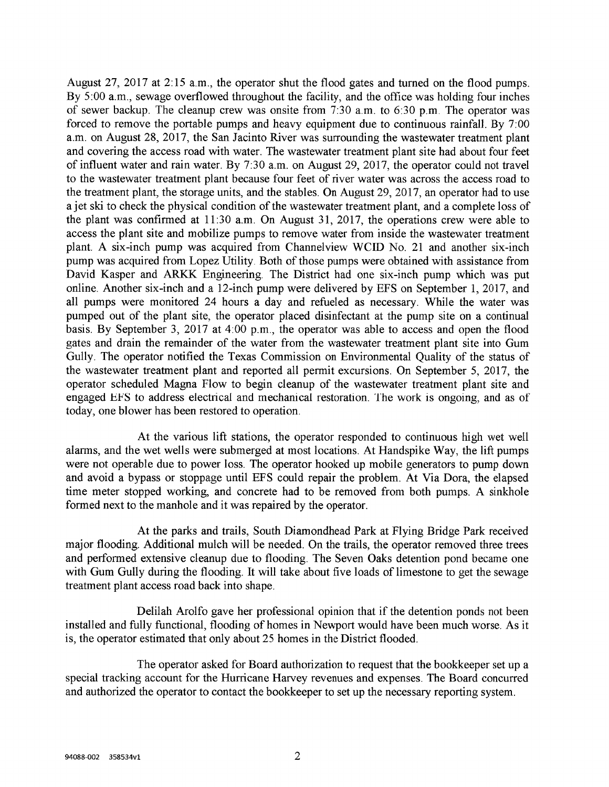August 27, 2017 at 2:15 a.m., the operator shut the flood gates and turned on the flood pumps. By 5:00 a.m., sewage overflowed throughout the facility, and the office was holding four inches of sewer backup. The cleanup crew was onsite from 7:30 a.m. to 6:30 p.m. The operator was forced to remove the portable pumps and heavy equipment due to continuous rainfall. By 7:00 a.m. on August 28, 2017, the San Jacinto River was surrounding the wastewater treatment plant and covering the access road with water. The wastewater treatment plant site had about four feet of influent water and rain water. By 7:30 a.m. on August 29, 2017, the operator could not travel to the wastewater treatment plant because four feet of river water was across the access road to the treatment plant, the storage units, and the stables. On August 29, 2017, an operator had to use a jet ski to check the physical condition of the wastewater treatment plant, and a complete loss of the plant was confirmed at 11:30 a.m. On August 31, 2017, the operations crew were able to access the plant site and mobilize pumps to remove water from inside the wastewater treatment plant. A six-inch pump was acquired from Channelview WCID No. 21 and another six-inch pump was acquired from Lopez Utility. Both of those pumps were obtained with assistance from David Kasper and ARKK Engineering. The District had one six-inch pump which was put online. Another six-inch and a 12-inch pump were delivered by EFS on September 1, 2017, and all pumps were monitored 24 hours a day and refueled as necessary. While the water was pumped out of the plant site, the operator placed disinfectant at the pump site on a continual basis. By September 3, 2017 at 4:00 p.m., the operator was able to access and open the flood gates and drain the remainder of the water from the wastewater treatment plant site into Gum Gully. The operator notified the Texas Commission on Environmental Quality of the status of the wastewater treatment plant and reported all pemiit excursions. On September 5, 2017, the operator scheduled Magna Flow to begin cleanup of the wastewater treatment plant site and engaged EFS to address electrical and mechanical restoration. The work is ongoing, and as of today, one blower has been restored to operation.

At the various lift stations, the operator responded to continuous high wet well alarms, and the wet wells were submerged at most locations. At Handspike Way, the lift pumps were not operable due to power loss. The operator hooked up mobile generators to pump down and avoid a bypass or stoppage until EFS could repair the problem. At Via Dora, the elapsed time meter stopped working, and concrete had to be removed from both pumps. A sinkhole formed next to the manhole and it was repaired by the operator.

At the parks and trails, South Diamondhead Park at Flying Bridge Park received major flooding. Additional mulch will be needed. On the trails, the operator removed three trees and performed extensive cleanup due to flooding. The Seven Oaks detention pond became one with Gum Gully during the flooding. It will take about five loads of limestone to get the sewage treatment plant access road back into shape.

Delilah Arolfo gave her professional opinion that if the detention ponds not been installed and fully functional, flooding of homes in Newport would have been much worse. As it is, the operator estimated that only about 25 homes in the District flooded.

The operator asked for Board authorization to request that the bookkeeper set up a special tracking account for the Hurricane Harvey revenues and expenses. The Board concurred and authorized the operator to contact the bookkeeper to set up the necessary reporting system.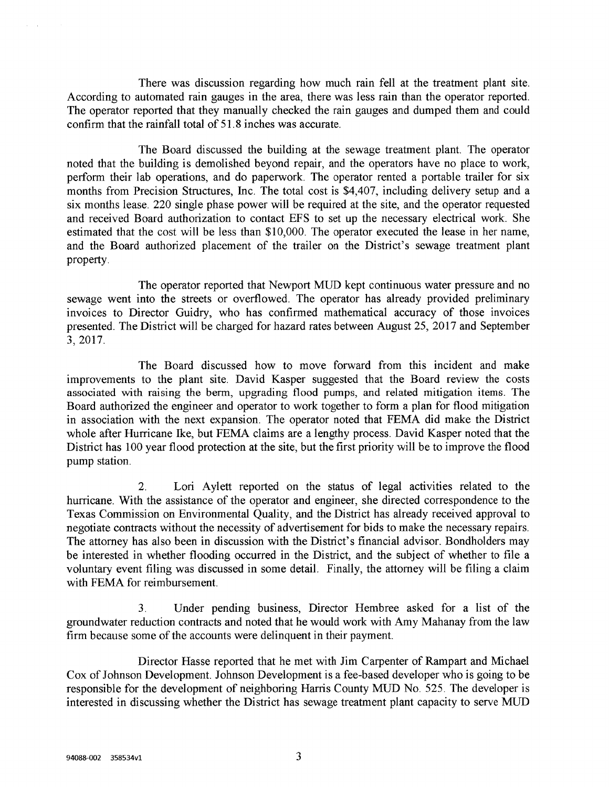There was discussion regarding how much rain fell at the treatment plant site. According to automated rain gauges in the area, there was less rain than the operator reported. The operator reported that they manually checked the rain gauges and dumped them and could confirm that the rainfall total of 51.8 inches was accurate.

The Board discussed the building at the sewage treatment plant. The operator noted that the building is demolished beyond repair, and the operators have no place to work, perform their lab operations, and do paperwork. The operator rented a portable trailer for six months from Precision Structures, Inc. The total cost is \$4,407, including delivery setup and a six months lease. 220 single phase power will be required at the site, and the operator requested and received Board authorization to contact EPS to set up the necessary electrical work. She estimated that the cost will be less than \$10,000. The operator executed the lease in her name, and the Board authorized placement of the trailer on the District's sewage treatment plant property.

The operator reported that Newport MUD kept continuous water pressure and no sewage went into the streets or overflowed. The operator has already provided preliminary invoices to Director Guidry, who has confirmed mathematical accuracy of those invoices presented. The District will be charged for hazard rates between August 25, 2017 and September 3,2017.

The Board discussed how to move forward from this incident and make improvements to the plant site. David Kasper suggested that the Board review the costs associated with raising the berm, upgrading flood pumps, and related mitigation items. The Board authorized the engineer and operator to work together to form a plan for flood mitigation in association with the next expansion. The operator noted that FEMA did make the District whole after Hurricane Ike, but FEMA claims are a lengthy process. David Kasper noted that the District has 100 year flood protection at the site, but the first priority will be to improve the flood pump station.

2. Lori Aylett reported on the status of legal activities related to the hurricane. With the assistance of the operator and engineer, she directed correspondence to the Texas Commission on Environmental Quality, and the District has already received approval to negotiate contracts without the necessity of advertisement for bids to make the necessary repairs. The attorney has also been in discussion with the District's financial advisor. Bondholders may be interested in whether flooding occurred in the District, and the subject of whether to file a voluntary event filing was discussed in some detail. Finally, the attorney will be filing a claim with FEMA for reimbursement.

3. Under pending business, Director Hembree asked for a list of the groundwater reduction contracts and noted that he would work with Amy Mahanay from the law firm because some of the accounts were delinquent in their payment.

Director Hasse reported that he met with Jim Carpenter of Rampart and Michael Cox of Johnson Development. Johnson Development is a fee-based developer who is going to be responsible for the development of neighboring Harris County MUD No. 525. The developer is interested in discussing whether the District has sewage treatment plant capacity to serve MUD